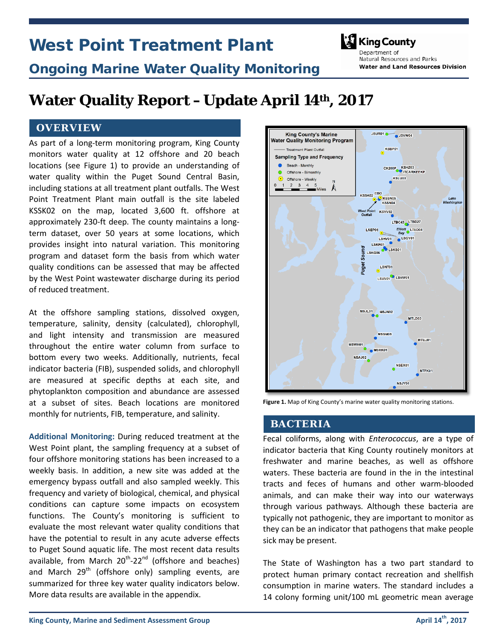# West Point Treatment Plant



## Ongoing Marine Water Quality Monitoring

Denartment of Natural Resources and Parks **Water and Land Resources Division** 

## **Water Quality Report –Update April 14th , 2017**

## **OVERVIEW**

As part of a long-term monitoring program, King County monitors water quality at 12 offshore and 20 beach locations (see Figure 1) to provide an understanding of water quality within the Puget Sound Central Basin, including stations at all treatment plant outfalls. The West Point Treatment Plant main outfall is the site labeled KSSK02 on the map, located 3,600 ft. offshore at approximately 230-ft deep. The county maintains a longterm dataset, over 50 years at some locations, which provides insight into natural variation. This monitoring program and dataset form the basis from which water quality conditions can be assessed that may be affected by the West Point wastewater discharge during its period of reduced treatment.

At the offshore sampling stations, dissolved oxygen, temperature, salinity, density (calculated), chlorophyll, and light intensity and transmission are measured throughout the entire water column from surface to bottom every two weeks. Additionally, nutrients, fecal indicator bacteria (FIB), suspended solids, and chlorophyll are measured at specific depths at each site, and phytoplankton composition and abundance are assessed at a subset of sites. Beach locations are monitored monthly for nutrients, FIB, temperature, and salinity.

**Additional Monitoring:** During reduced treatment at the West Point plant, the sampling frequency at a subset of four offshore monitoring stations has been increased to a weekly basis. In addition, a new site was added at the emergency bypass outfall and also sampled weekly. This frequency and variety of biological, chemical, and physical conditions can capture some impacts on ecosystem functions. The County's monitoring is sufficient to evaluate the most relevant water quality conditions that have the potential to result in any acute adverse effects to Puget Sound aquatic life. The most recent data results available, from March  $20^{th}$ -22<sup>nd</sup> (offshore and beaches) and March  $29<sup>th</sup>$  (offshore only) sampling events, are summarized for three key water quality indicators below. More data results are available in the appendix.



**Figure 1.** Map of King County's marine water quality monitoring stations.

### **BACTERIA**

Fecal coliforms, along with *Enterococcus*, are a type of indicator bacteria that King County routinely monitors at freshwater and marine beaches, as well as offshore waters. These bacteria are found in the in the intestinal tracts and feces of humans and other warm-blooded animals, and can make their way into our waterways through various pathways. Although these bacteria are typically not pathogenic, they are important to monitor as they can be an indicator that pathogens that make people sick may be present.

The State of Washington has a two part standard to protect human primary contact recreation and shellfish consumption in marine waters. The standard includes a 14 colony forming unit/100 mL geometric mean average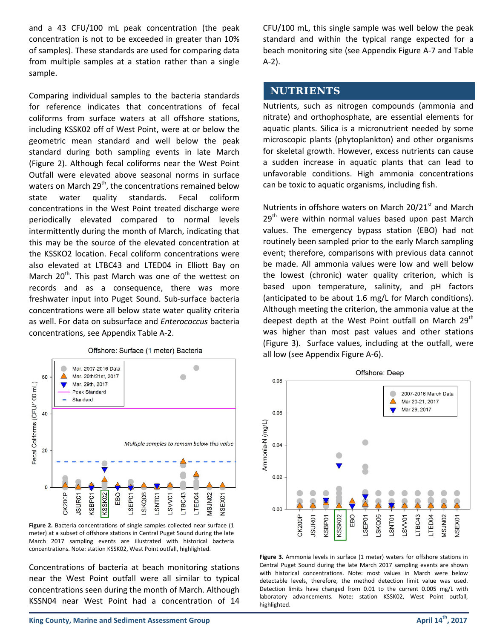and a 43 CFU/100 mL peak concentration (the peak concentration is not to be exceeded in greater than 10% of samples). These standards are used for comparing data from multiple samples at a station rather than a single sample.

Comparing individual samples to the bacteria standards for reference indicates that concentrations of fecal coliforms from surface waters at all offshore stations, including KSSK02 off of West Point, were at or below the geometric mean standard and well below the peak standard during both sampling events in late March (Figure 2). Although fecal coliforms near the West Point Outfall were elevated above seasonal norms in surface waters on March  $29<sup>th</sup>$ , the concentrations remained below state water quality standards. Fecal coliform concentrations in the West Point treated discharge were periodically elevated compared to normal levels intermittently during the month of March, indicating that this may be the source of the elevated concentration at the KSSKO2 location. Fecal coliform concentrations were also elevated at LTBC43 and LTED04 in Elliott Bay on March 20<sup>th</sup>. This past March was one of the wettest on records and as a consequence, there was more freshwater input into Puget Sound. Sub-surface bacteria concentrations were all below state water quality criteria as well. For data on subsurface and *Enterococcus* bacteria concentrations, see Appendix Table A-2.



#### **Figure 2.** Bacteria concentrations of single samples collected near surface (1 meter) at a subset of offshore stations in Central Puget Sound during the late March 2017 sampling events are illustrated with historical bacteria concentrations. Note: station KSSK02, West Point outfall, highlighted.

Concentrations of bacteria at beach monitoring stations near the West Point outfall were all similar to typical concentrations seen during the month of March. Although KSSN04 near West Point had a concentration of 14

CFU/100 mL, this single sample was well below the peak standard and within the typical range expected for a beach monitoring site (see Appendix Figure A-7 and Table A-2).

### **NUTRIENTS**

Nutrients, such as nitrogen compounds (ammonia and nitrate) and orthophosphate, are essential elements for aquatic plants. Silica is a micronutrient needed by some microscopic plants (phytoplankton) and other organisms for skeletal growth. However, excess nutrients can cause a sudden increase in aquatic plants that can lead to unfavorable conditions. High ammonia concentrations can be toxic to aquatic organisms, including fish.

Nutrients in offshore waters on March  $20/21<sup>st</sup>$  and March  $29<sup>th</sup>$  were within normal values based upon past March values. The emergency bypass station (EBO) had not routinely been sampled prior to the early March sampling event; therefore, comparisons with previous data cannot be made. All ammonia values were low and well below the lowest (chronic) water quality criterion, which is based upon temperature, salinity, and pH factors (anticipated to be about 1.6 mg/L for March conditions). Although meeting the criterion, the ammonia value at the deepest depth at the West Point outfall on March  $29<sup>th</sup>$ was higher than most past values and other stations (Figure 3). Surface values, including at the outfall, were all low (see Appendix Figure A-6).



Figure 3. Ammonia levels in surface (1 meter) waters for offshore stations in Central Puget Sound during the late March 2017 sampling events are shown with historical concentrations. Note: most values in March were below detectable levels, therefore, the method detection limit value was used. Detection limits have changed from 0.01 to the current 0.005 mg/L with laboratory advancements. Note: station KSSK02, West Point outfall, highlighted.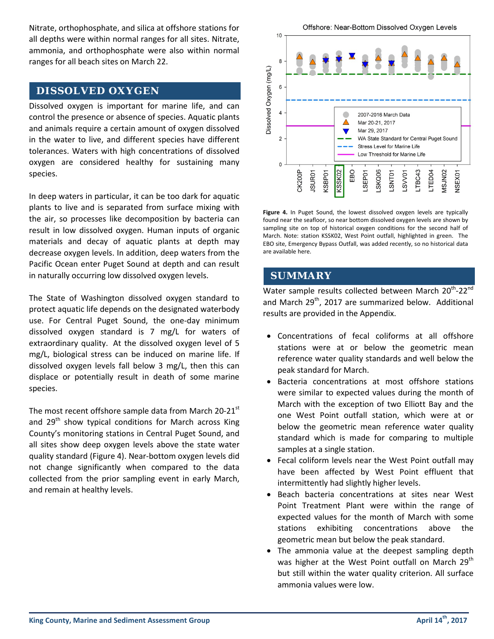Nitrate, orthophosphate, and silica at offshore stations for all depths were within normal ranges for all sites. Nitrate, ammonia, and orthophosphate were also within normal ranges for all beach sites on March 22.

## **DISSOLVED OXYGEN**

Dissolved oxygen is important for marine life, and can control the presence or absence of species. Aquatic plants and animals require a certain amount of oxygen dissolved in the water to live, and different species have different tolerances. Waters with high concentrations of dissolved oxygen are considered healthy for sustaining many species.

In deep waters in particular, it can be too dark for aquatic plants to live and is separated from surface mixing with the air, so processes like decomposition by bacteria can result in low dissolved oxygen. Human inputs of organic materials and decay of aquatic plants at depth may decrease oxygen levels. In addition, deep waters from the Pacific Ocean enter Puget Sound at depth and can result in naturally occurring low dissolved oxygen levels.

The State of Washington dissolved oxygen standard to protect aquatic life depends on the designated waterbody use. For Central Puget Sound, the one-day minimum dissolved oxygen standard is 7 mg/L for waters of extraordinary quality. At the dissolved oxygen level of 5 mg/L, biological stress can be induced on marine life. If dissolved oxygen levels fall below 3 mg/L, then this can displace or potentially result in death of some marine species.

The most recent offshore sample data from March  $20-21$ <sup>st</sup> and  $29<sup>th</sup>$  show typical conditions for March across King County's monitoring stations in Central Puget Sound, and all sites show deep oxygen levels above the state water quality standard (Figure 4). Near-bottom oxygen levels did not change significantly when compared to the data collected from the prior sampling event in early March, and remain at healthy levels.



**Figure 4.** In Puget Sound, the lowest dissolved oxygen levels are typically found near the seafloor, so near bottom dissolved oxygen levels are shown by sampling site on top of historical oxygen conditions for the second half of March. Note: station KSSK02, West Point outfall, highlighted in green. The EBO site, Emergency Bypass Outfall, was added recently, so no historical data are available here.

## **SUMMARY**

Water sample results collected between March 20<sup>th</sup>-22<sup>nd</sup> and March 29<sup>th</sup>, 2017 are summarized below. Additional results are provided in the Appendix.

- Concentrations of fecal coliforms at all offshore stations were at or below the geometric mean reference water quality standards and well below the peak standard for March.
- Bacteria concentrations at most offshore stations were similar to expected values during the month of March with the exception of two Elliott Bay and the one West Point outfall station, which were at or below the geometric mean reference water quality standard which is made for comparing to multiple samples at a single station.
- Fecal coliform levels near the West Point outfall may have been affected by West Point effluent that intermittently had slightly higher levels.
- Beach bacteria concentrations at sites near West Point Treatment Plant were within the range of expected values for the month of March with some stations exhibiting concentrations above the geometric mean but below the peak standard.
- The ammonia value at the deepest sampling depth was higher at the West Point outfall on March  $29<sup>th</sup>$ but still within the water quality criterion. All surface ammonia values were low.